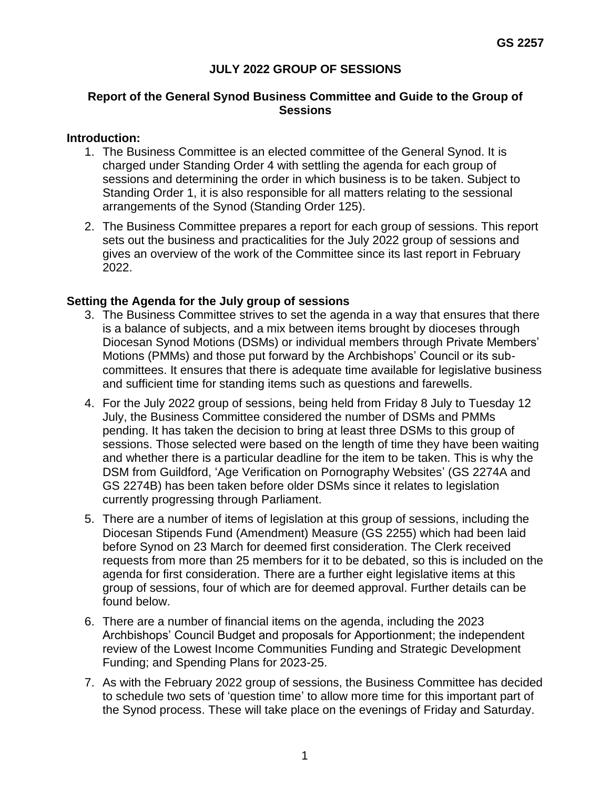## **JULY 2022 GROUP OF SESSIONS**

#### **Report of the General Synod Business Committee and Guide to the Group of Sessions**

#### **Introduction:**

- 1. The Business Committee is an elected committee of the General Synod. It is charged under Standing Order 4 with settling the agenda for each group of sessions and determining the order in which business is to be taken. Subject to Standing Order 1, it is also responsible for all matters relating to the sessional arrangements of the Synod (Standing Order 125).
- 2. The Business Committee prepares a report for each group of sessions. This report sets out the business and practicalities for the July 2022 group of sessions and gives an overview of the work of the Committee since its last report in February 2022.

### **Setting the Agenda for the July group of sessions**

- 3. The Business Committee strives to set the agenda in a way that ensures that there is a balance of subjects, and a mix between items brought by dioceses through Diocesan Synod Motions (DSMs) or individual members through Private Members' Motions (PMMs) and those put forward by the Archbishops' Council or its subcommittees. It ensures that there is adequate time available for legislative business and sufficient time for standing items such as questions and farewells.
- 4. For the July 2022 group of sessions, being held from Friday 8 July to Tuesday 12 July, the Business Committee considered the number of DSMs and PMMs pending. It has taken the decision to bring at least three DSMs to this group of sessions. Those selected were based on the length of time they have been waiting and whether there is a particular deadline for the item to be taken. This is why the DSM from Guildford, 'Age Verification on Pornography Websites' (GS 2274A and GS 2274B) has been taken before older DSMs since it relates to legislation currently progressing through Parliament.
- 5. There are a number of items of legislation at this group of sessions, including the Diocesan Stipends Fund (Amendment) Measure (GS 2255) which had been laid before Synod on 23 March for deemed first consideration. The Clerk received requests from more than 25 members for it to be debated, so this is included on the agenda for first consideration. There are a further eight legislative items at this group of sessions, four of which are for deemed approval. Further details can be found below.
- 6. There are a number of financial items on the agenda, including the 2023 Archbishops' Council Budget and proposals for Apportionment; the independent review of the Lowest Income Communities Funding and Strategic Development Funding; and Spending Plans for 2023-25.
- 7. As with the February 2022 group of sessions, the Business Committee has decided to schedule two sets of 'question time' to allow more time for this important part of the Synod process. These will take place on the evenings of Friday and Saturday.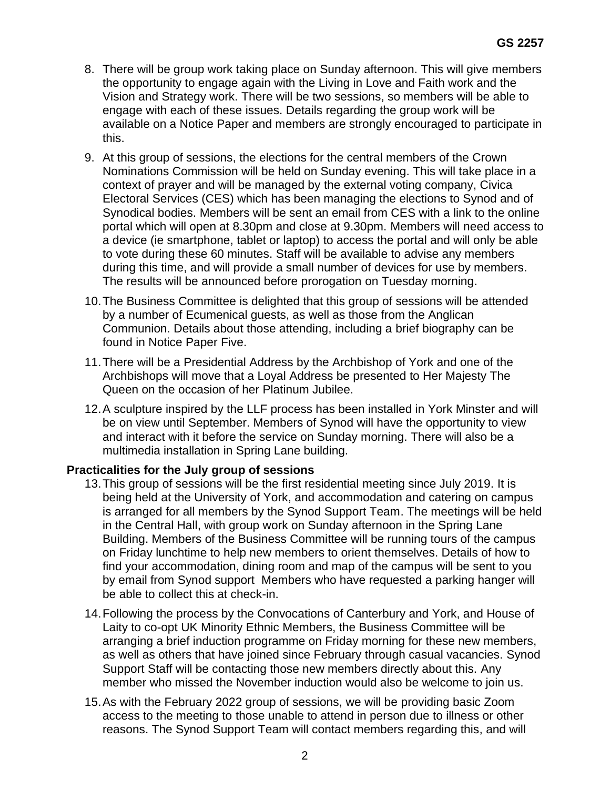- 8. There will be group work taking place on Sunday afternoon. This will give members the opportunity to engage again with the Living in Love and Faith work and the Vision and Strategy work. There will be two sessions, so members will be able to engage with each of these issues. Details regarding the group work will be available on a Notice Paper and members are strongly encouraged to participate in this.
- 9. At this group of sessions, the elections for the central members of the Crown Nominations Commission will be held on Sunday evening. This will take place in a context of prayer and will be managed by the external voting company, Civica Electoral Services (CES) which has been managing the elections to Synod and of Synodical bodies. Members will be sent an email from CES with a link to the online portal which will open at 8.30pm and close at 9.30pm. Members will need access to a device (ie smartphone, tablet or laptop) to access the portal and will only be able to vote during these 60 minutes. Staff will be available to advise any members during this time, and will provide a small number of devices for use by members. The results will be announced before prorogation on Tuesday morning.
- 10.The Business Committee is delighted that this group of sessions will be attended by a number of Ecumenical guests, as well as those from the Anglican Communion. Details about those attending, including a brief biography can be found in Notice Paper Five.
- 11.There will be a Presidential Address by the Archbishop of York and one of the Archbishops will move that a Loyal Address be presented to Her Majesty The Queen on the occasion of her Platinum Jubilee.
- 12.A sculpture inspired by the LLF process has been installed in York Minster and will be on view until September. Members of Synod will have the opportunity to view and interact with it before the service on Sunday morning. There will also be a multimedia installation in Spring Lane building.

## **Practicalities for the July group of sessions**

- 13.This group of sessions will be the first residential meeting since July 2019. It is being held at the University of York, and accommodation and catering on campus is arranged for all members by the Synod Support Team. The meetings will be held in the Central Hall, with group work on Sunday afternoon in the Spring Lane Building. Members of the Business Committee will be running tours of the campus on Friday lunchtime to help new members to orient themselves. Details of how to find your accommodation, dining room and map of the campus will be sent to you by email from Synod support Members who have requested a parking hanger will be able to collect this at check-in.
- 14.Following the process by the Convocations of Canterbury and York, and House of Laity to co-opt UK Minority Ethnic Members, the Business Committee will be arranging a brief induction programme on Friday morning for these new members, as well as others that have joined since February through casual vacancies. Synod Support Staff will be contacting those new members directly about this. Any member who missed the November induction would also be welcome to join us.
- 15.As with the February 2022 group of sessions, we will be providing basic Zoom access to the meeting to those unable to attend in person due to illness or other reasons. The Synod Support Team will contact members regarding this, and will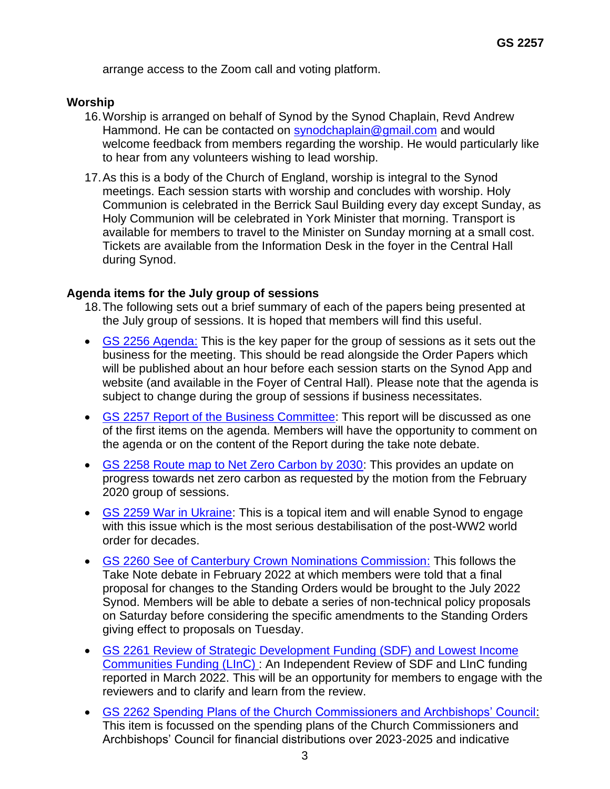arrange access to the Zoom call and voting platform.

### **Worship**

- 16.Worship is arranged on behalf of Synod by the Synod Chaplain, Revd Andrew Hammond. He can be contacted on [synodchaplain@gmail.com](mailto:synodchaplain@gmail.com) and would welcome feedback from members regarding the worship. He would particularly like to hear from any volunteers wishing to lead worship.
- 17.As this is a body of the Church of England, worship is integral to the Synod meetings. Each session starts with worship and concludes with worship. Holy Communion is celebrated in the Berrick Saul Building every day except Sunday, as Holy Communion will be celebrated in York Minister that morning. Transport is available for members to travel to the Minister on Sunday morning at a small cost. Tickets are available from the Information Desk in the foyer in the Central Hall during Synod.

### **Agenda items for the July group of sessions**

- 18.The following sets out a brief summary of each of the papers being presented at the July group of sessions. It is hoped that members will find this useful.
- [GS 2256 Agenda:](https://www.churchofengland.org/system/files/private%3A/2022-06/GS%202256%20Agenda%20July%202022.pdf) This is the key paper for the group of sessions as it sets out the business for the meeting. This should be read alongside the Order Papers which will be published about an hour before each session starts on the Synod App and website (and available in the Foyer of Central Hall). Please note that the agenda is subject to change during the group of sessions if business necessitates.
- [GS 2257 Report of the Business Committee:](https://www.churchofengland.org/sites/default/files/2022-06/GS%202257%20Report%20by%20the%20Business%20Committee.pdf) This report will be discussed as one of the first items on the agenda. Members will have the opportunity to comment on the agenda or on the content of the Report during the take note debate.
- [GS 2258 Route map to Net Zero Carbon by 2030:](https://www.churchofengland.org/sites/default/files/2022-06/GS%202258%20Routemap%20to%20Net%20Zero%20Carbon.pdf) This provides an update on progress towards net zero carbon as requested by the motion from the February 2020 group of sessions.
- [GS 2259 War in Ukraine:](https://www.churchofengland.org/sites/default/files/2022-06/GS%202259%20%20War%20in%20Ukraine.pdf) This is a topical item and will enable Synod to engage with this issue which is the most serious destabilisation of the post-WW2 world order for decades.
- [GS 2260 See of Canterbury Crown Nominations Commission:](https://www.churchofengland.org/sites/default/files/2022-06/GS%202260%20See%20of%20Canterbury%20Crown%20Nominations%20Commission_1.pdf) This follows the Take Note debate in February 2022 at which members were told that a final proposal for changes to the Standing Orders would be brought to the July 2022 Synod. Members will be able to debate a series of non-technical policy proposals on Saturday before considering the specific amendments to the Standing Orders giving effect to proposals on Tuesday.
- [GS 2261 Review of Strategic Development Funding \(SDF\) and Lowest Income](https://www.churchofengland.org/sites/default/files/2022-06/GS%202261%20Review%20of%20SDF%20and%20LINC%20Funding.pdf)  [Communities Funding](https://www.churchofengland.org/sites/default/files/2022-06/GS%202261%20Review%20of%20SDF%20and%20LINC%20Funding.pdf) (LInC) : An Independent Review of SDF and LInC funding reported in March 2022. This will be an opportunity for members to engage with the reviewers and to clarify and learn from the review.
- GS 2262 [Spending Plans of the Church Commissioners and Archbishops' Council:](https://www.churchofengland.org/sites/default/files/2022-06/GS%202262%20Spending%20Plans%20of%20the%20CC%20and%20AC.pdf) This item is focussed on the spending plans of the Church Commissioners and Archbishops' Council for financial distributions over 2023-2025 and indicative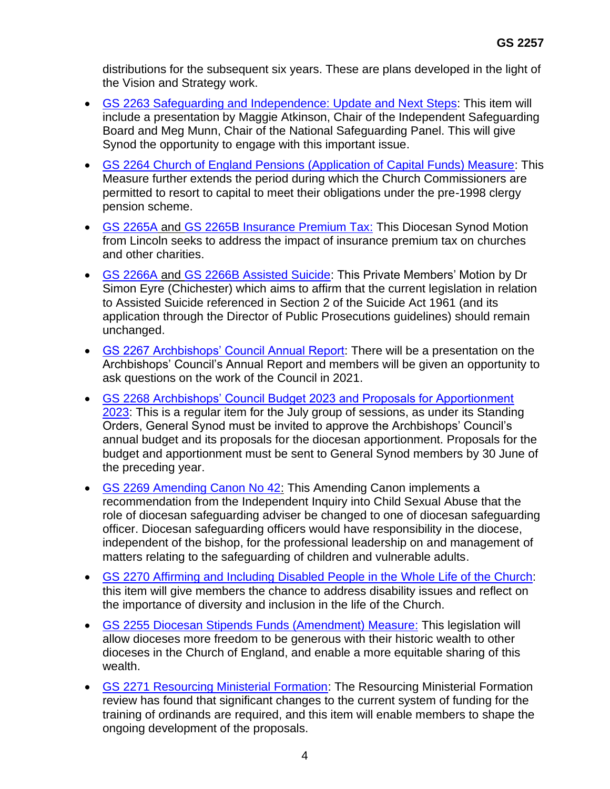distributions for the subsequent six years. These are plans developed in the light of the Vision and Strategy work.

- [GS 2263 Safeguarding and Independence: Update and Next Steps:](https://www.churchofengland.org/sites/default/files/2022-06/GS%202263%20Safeguarding%20and%20Independence.pdf) This item will include a presentation by Maggie Atkinson, Chair of the Independent Safeguarding Board and Meg Munn, Chair of the National Safeguarding Panel. This will give Synod the opportunity to engage with this important issue.
- GS 2264 [Church of England Pensions \(Application of Capital Funds\) Measure:](https://www.churchofengland.org/sites/default/files/2022-06/GS%202264%20CofE%20Pensions%20%28Application%20of%20Capital%20Funds%29%20Measure.pdf) This Measure further extends the period during which the Church Commissioners are permitted to resort to capital to meet their obligations under the pre-1998 clergy pension scheme.
- [GS 2265A](https://www.churchofengland.org/sites/default/files/2022-06/GS%202265A%20Insurance%20Premium%20Tax.pdf) and [GS 2265B Insurance Premium Tax:](https://www.churchofengland.org/sites/default/files/2022-06/GS%202265B%20Sec%20Gen%20Insurance%20Premium%20Tax.pdf) This Diocesan Synod Motion from Lincoln seeks to address the impact of insurance premium tax on churches and other charities.
- [GS 2266A a](https://www.churchofengland.org/sites/default/files/2022-06/GS%202266A%20Assisted%20Suicide.pdf)nd [GS 2266B Assisted Suicide:](https://www.churchofengland.org/sites/default/files/2022-06/GS%202266B%20Sec%20Gen%20Note%20-%20Assisted%20Suicide.pdf) This Private Members' Motion by Dr Simon Eyre (Chichester) which aims to affirm that the current legislation in relation to Assisted Suicide referenced in Section 2 of the Suicide Act 1961 (and its application through the Director of Public Prosecutions guidelines) should remain unchanged.
- [GS 2267 Archbishops' Council Annual Report:](https://www.churchofengland.org/sites/default/files/2022-06/GS%202267%20Archbishops%27%20Council%20Annual%20Report.pdf) There will be a presentation on the Archbishops' Council's Annual Report and members will be given an opportunity to ask questions on the work of the Council in 2021.
- GS 2268 [Archbishops' Council Budget 2023 and Proposals for Apportionment](https://www.churchofengland.org/sites/default/files/2022-06/GS%202268%20-%20AC%20Budget%202023%20and%20Proposals%20for%20Apportionment%202023.pdf)  [2023:](https://www.churchofengland.org/sites/default/files/2022-06/GS%202268%20-%20AC%20Budget%202023%20and%20Proposals%20for%20Apportionment%202023.pdf) This is a regular item for the July group of sessions, as under its Standing Orders, General Synod must be invited to approve the Archbishops' Council's annual budget and its proposals for the diocesan apportionment. Proposals for the budget and apportionment must be sent to General Synod members by 30 June of the preceding year.
- [GS 2269 Amending Canon No 42:](https://www.churchofengland.org/sites/default/files/2022-06/GS%202269%20Amending%20Canon%20No.%2042.pdf) This Amending Canon implements a recommendation from the Independent Inquiry into Child Sexual Abuse that the role of diocesan safeguarding adviser be changed to one of diocesan safeguarding officer. Diocesan safeguarding officers would have responsibility in the diocese, independent of the bishop, for the professional leadership on and management of matters relating to the safeguarding of children and vulnerable adults.
- [GS 2270 Affirming and Including Disabled People in the Whole Life of the Church:](https://www.churchofengland.org/sites/default/files/2022-06/GS%202270%20Affirming%20and%20Including%20Disabled%20People.pdf) this item will give members the chance to address disability issues and reflect on the importance of diversity and inclusion in the life of the Church.
- [GS 2255 Diocesan Stipends Funds \(Amendment\) Measure:](https://www.churchofengland.org/sites/default/files/2022-06/GS%202255%20Diocesan%20Stipends%20Funds%20%28Amendment%29%20Measure.pdf) This legislation will allow dioceses more freedom to be generous with their historic wealth to other dioceses in the Church of England, and enable a more equitable sharing of this wealth.
- GS 2271 [Resourcing Ministerial Formation:](https://www.churchofengland.org/sites/default/files/2022-06/GS%202271%20Resourcing%20Ministerial%20Formation.pdf) The Resourcing Ministerial Formation review has found that significant changes to the current system of funding for the training of ordinands are required, and this item will enable members to shape the ongoing development of the proposals.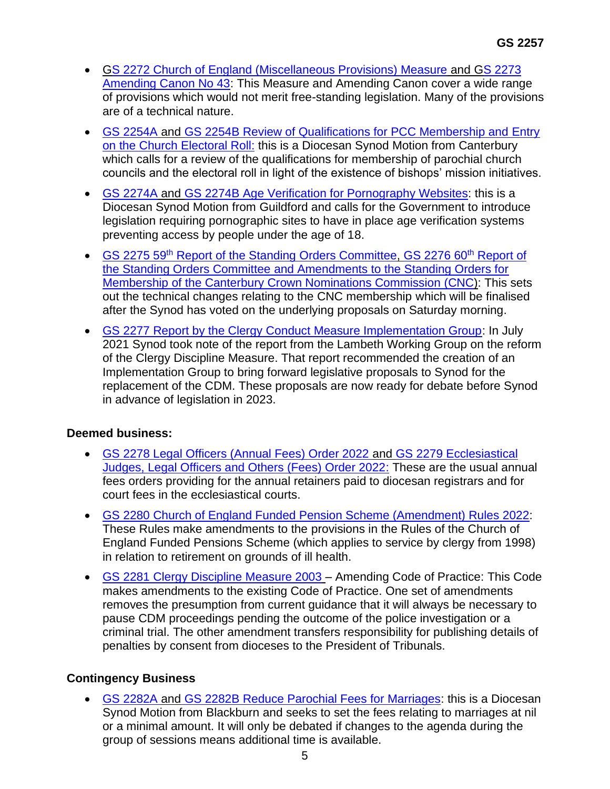- GS 2272 [Church of England \(Miscellaneous Provisions\) Measure](https://www.churchofengland.org/sites/default/files/2022-06/GS%202272%20CofE%20%28Miscellaneous%20Provisions%29%20Measure.pdf) and [GS 2273](https://www.churchofengland.org/sites/default/files/2022-06/GS%202273%20Amending%20Canon%2043%20-%20First%20consideration.pdf) [Amending Canon No 43:](https://www.churchofengland.org/sites/default/files/2022-06/GS%202273%20Amending%20Canon%2043%20-%20First%20consideration.pdf) This Measure and Amending Canon cover a wide range of provisions which would not merit free-standing legislation. Many of the provisions are of a technical nature.
- [GS 2254A](https://www.churchofengland.org/sites/default/files/2022-06/GS%202254A%20Review%20of%20Qualifications%20for%20PCC%20Membership%20and%20Entry%20on%20the%20CER.pdf) and [GS 2254B Review of Qualifications for PCC Membership and Entry](https://www.churchofengland.org/sites/default/files/2022-06/GS%202254B%20Sec%20GEn%20Note%20-%20Review%20of%20Qualifications%20for%20PCC%20Membership%20and%20Entry%20on%20the%20CER.pdf)  [on the Church Electoral Roll:](https://www.churchofengland.org/sites/default/files/2022-06/GS%202254B%20Sec%20GEn%20Note%20-%20Review%20of%20Qualifications%20for%20PCC%20Membership%20and%20Entry%20on%20the%20CER.pdf) this is a Diocesan Synod Motion from Canterbury which calls for a review of the qualifications for membership of parochial church councils and the electoral roll in light of the existence of bishops' mission initiatives.
- [GS 2274A](https://www.churchofengland.org/sites/default/files/2022-06/GS%202274A%20Age%20Verification%20for%20Pornography%20Website.pdf) and GS 2274B [Age Verification for Pornography Websites:](https://www.churchofengland.org/sites/default/files/2022-06/GS%202274B%20Sec%20Gen%20Note%20-%20Age%20Verification.pdf) this is a Diocesan Synod Motion from Guildford and calls for the Government to introduce legislation requiring pornographic sites to have in place age verification systems preventing access by people under the age of 18.
- GS 2275 59<sup>th</sup> [Report of the Standing Orders Committee,](https://www.churchofengland.org/sites/default/files/2022-06/GS%202275%2059th%20Standing%20Orders%20Report.pdf) [GS 2276 60](https://www.churchofengland.org/sites/default/files/2022-06/GS%202276%2060th%20Standing%20Orders%20Report.pdf)<sup>th</sup> Report of [the Standing Orders Committee and Amendments to the Standing Orders for](https://www.churchofengland.org/sites/default/files/2022-06/GS%202276%2060th%20Standing%20Orders%20Report.pdf)  Membership [of the Canterbury Crown Nominations Commission](https://www.churchofengland.org/sites/default/files/2022-06/GS%202276%2060th%20Standing%20Orders%20Report.pdf) (CNC): This sets out the technical changes relating to the CNC membership which will be finalised after the Synod has voted on the underlying proposals on Saturday morning.
- [GS 2277 Report by the Clergy Conduct Measure Implementation Group:](https://www.churchofengland.org/sites/default/files/2022-06/GS%202277%20Report%20by%20the%20Clergy%20Conduct%20Measure%20Implementation%20Group_0.pdf) In July 2021 Synod took note of the report from the Lambeth Working Group on the reform of the Clergy Discipline Measure. That report recommended the creation of an Implementation Group to bring forward legislative proposals to Synod for the replacement of the CDM. These proposals are now ready for debate before Synod in advance of legislation in 2023.

## **Deemed business:**

- [GS 2278 Legal Officers \(Annual Fees\) Order 2022 a](https://www.churchofengland.org/sites/default/files/2022-06/GS%202278%20Legal%20Officers%20%28Annual%20Fees%29%20Order%202022.pdf)nd [GS 2279 Ecclesiastical](https://www.churchofengland.org/sites/default/files/2022-06/GS%202279%20Ecclesiastical%20Judges%2C%20Legal%20Officers%20and%20Others%20%28Fees%29%20Order%202022.pdf)  [Judges, Legal Officers and Others \(Fees\) Order 2022:](https://www.churchofengland.org/sites/default/files/2022-06/GS%202279%20Ecclesiastical%20Judges%2C%20Legal%20Officers%20and%20Others%20%28Fees%29%20Order%202022.pdf) These are the usual annual fees orders providing for the annual retainers paid to diocesan registrars and for court fees in the ecclesiastical courts.
- [GS 2280 Church of England Funded Pension Scheme \(Amendment\)](https://www.churchofengland.org/sites/default/files/2022-06/GS%202280%20Pensions%20Rules%20%28Amendment%29%20Scheme.pdf) Rules 2022: These Rules make amendments to the provisions in the Rules of the Church of England Funded Pensions Scheme (which applies to service by clergy from 1998) in relation to retirement on grounds of ill health.
- [GS 2281 Clergy Discipline Measure 2003](https://www.churchofengland.org/sites/default/files/2022-06/GS%202281%20Code%20of%20Practice%20under%20CDM.pdf) Amending Code of Practice: This Code makes amendments to the existing Code of Practice. One set of amendments removes the presumption from current guidance that it will always be necessary to pause CDM proceedings pending the outcome of the police investigation or a criminal trial. The other amendment transfers responsibility for publishing details of penalties by consent from dioceses to the President of Tribunals.

# **Contingency Business**

• [GS 2282A a](https://www.churchofengland.org/sites/default/files/2022-06/GS%202282A%20reducing%20wedding%20fees%20.pdf)nd [GS 2282B Reduce Parochial Fees for Marriages:](https://www.churchofengland.org/sites/default/files/2022-06/GS%202282B%20Sec%20Gen%20Reduce%20Parochial%20Fees%20for%20marriages.pdf) this is a Diocesan Synod Motion from Blackburn and seeks to set the fees relating to marriages at nil or a minimal amount. It will only be debated if changes to the agenda during the group of sessions means additional time is available.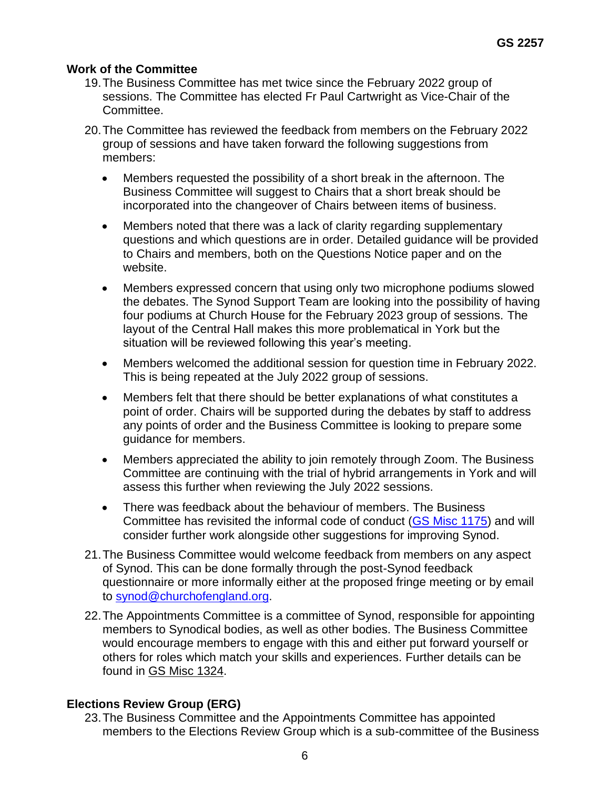### **Work of the Committee**

- 19.The Business Committee has met twice since the February 2022 group of sessions. The Committee has elected Fr Paul Cartwright as Vice-Chair of the Committee.
- 20.The Committee has reviewed the feedback from members on the February 2022 group of sessions and have taken forward the following suggestions from members:
	- Members requested the possibility of a short break in the afternoon. The Business Committee will suggest to Chairs that a short break should be incorporated into the changeover of Chairs between items of business.
	- Members noted that there was a lack of clarity regarding supplementary questions and which questions are in order. Detailed guidance will be provided to Chairs and members, both on the Questions Notice paper and on the website.
	- Members expressed concern that using only two microphone podiums slowed the debates. The Synod Support Team are looking into the possibility of having four podiums at Church House for the February 2023 group of sessions. The layout of the Central Hall makes this more problematical in York but the situation will be reviewed following this year's meeting.
	- Members welcomed the additional session for question time in February 2022. This is being repeated at the July 2022 group of sessions.
	- Members felt that there should be better explanations of what constitutes a point of order. Chairs will be supported during the debates by staff to address any points of order and the Business Committee is looking to prepare some guidance for members.
	- Members appreciated the ability to join remotely through Zoom. The Business Committee are continuing with the trial of hybrid arrangements in York and will assess this further when reviewing the July 2022 sessions.
	- There was feedback about the behaviour of members. The Business Committee has revisited the informal code of conduct [\(GS Misc 1175\)](https://www.churchofengland.org/sites/default/files/2018-01/GS%20Misc%201175%20-%20Code%20of%20Conduct.pdf) and will consider further work alongside other suggestions for improving Synod.
- 21.The Business Committee would welcome feedback from members on any aspect of Synod. This can be done formally through the post-Synod feedback questionnaire or more informally either at the proposed fringe meeting or by email to [synod@churchofengland.org.](mailto:synod@churchofengland.org)
- 22.The Appointments Committee is a committee of Synod, responsible for appointing members to Synodical bodies, as well as other bodies. The Business Committee would encourage members to engage with this and either put forward yourself or others for roles which match your skills and experiences. Further details can be found in GS Misc 1324.

## **Elections Review Group (ERG)**

23.The Business Committee and the Appointments Committee has appointed members to the Elections Review Group which is a sub-committee of the Business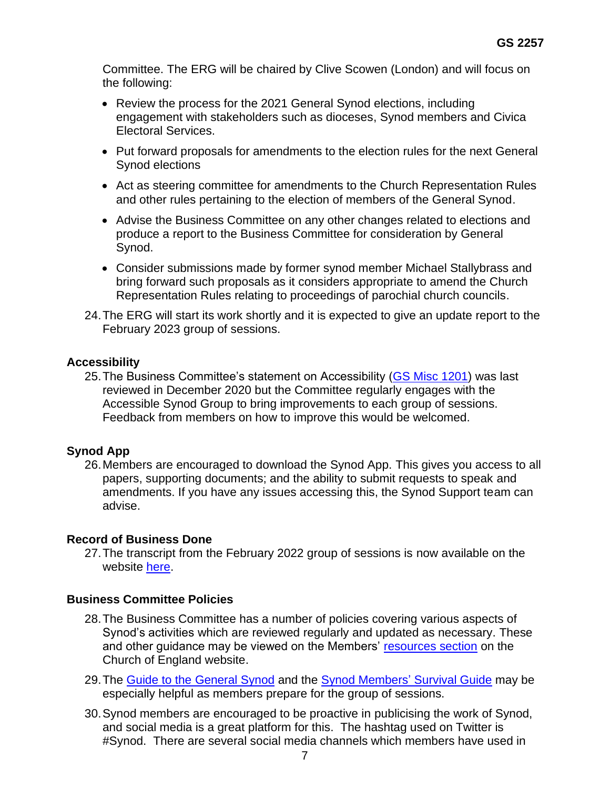Committee. The ERG will be chaired by Clive Scowen (London) and will focus on the following:

- Review the process for the 2021 General Synod elections, including engagement with stakeholders such as dioceses, Synod members and Civica Electoral Services.
- Put forward proposals for amendments to the election rules for the next General Synod elections
- Act as steering committee for amendments to the Church Representation Rules and other rules pertaining to the election of members of the General Synod.
- Advise the Business Committee on any other changes related to elections and produce a report to the Business Committee for consideration by General Synod.
- Consider submissions made by former synod member Michael Stallybrass and bring forward such proposals as it considers appropriate to amend the Church Representation Rules relating to proceedings of parochial church councils.
- 24.The ERG will start its work shortly and it is expected to give an update report to the February 2023 group of sessions.

## **Accessibility**

25.The Business Committee's statement on Accessibility [\(GS Misc 1201\)](https://www.churchofengland.org/sites/default/files/2019-01/GS%20Misc%201201%20.pdf) was last reviewed in December 2020 but the Committee regularly engages with the Accessible Synod Group to bring improvements to each group of sessions. Feedback from members on how to improve this would be welcomed.

## **Synod App**

26.Members are encouraged to download the Synod App. This gives you access to all papers, supporting documents; and the ability to submit requests to speak and amendments. If you have any issues accessing this, the Synod Support team can advise.

## **Record of Business Done**

27.The transcript from the February 2022 group of sessions is now available on the website [here.](https://view.officeapps.live.com/op/view.aspx?src=https%3A%2F%2Fwww.churchofengland.org%2Fsites%2Fdefault%2Ffiles%2F2022-05%2FGeneral%2520Synod%2520-%2520Group%2520of%2520Sessions%2520-%2520February%25202022.docx&wdOrigin=BROWSELINK)

## **Business Committee Policies**

- 28.The Business Committee has a number of policies covering various aspects of Synod's activities which are reviewed regularly and updated as necessary. These and other guidance may be viewed on the Members' [resources section](https://www.churchofengland.org/about/leadership-and-governance/general-synod/synod-members-resources) on the Church of England website.
- 29. The [Guide to the General Synod](https://www.churchofengland.org/sites/default/files/2021-10/Guide%20to%20the%20GS-admin-2021-v1.pdf) and the [Synod Members'](https://www.churchofengland.org/sites/default/files/2021-10/synod_survival_guide__revised_Oct_21_.pdf) Survival Guide may be especially helpful as members prepare for the group of sessions.
- 30.Synod members are encouraged to be proactive in publicising the work of Synod, and social media is a great platform for this. The hashtag used on Twitter is #Synod. There are several social media channels which members have used in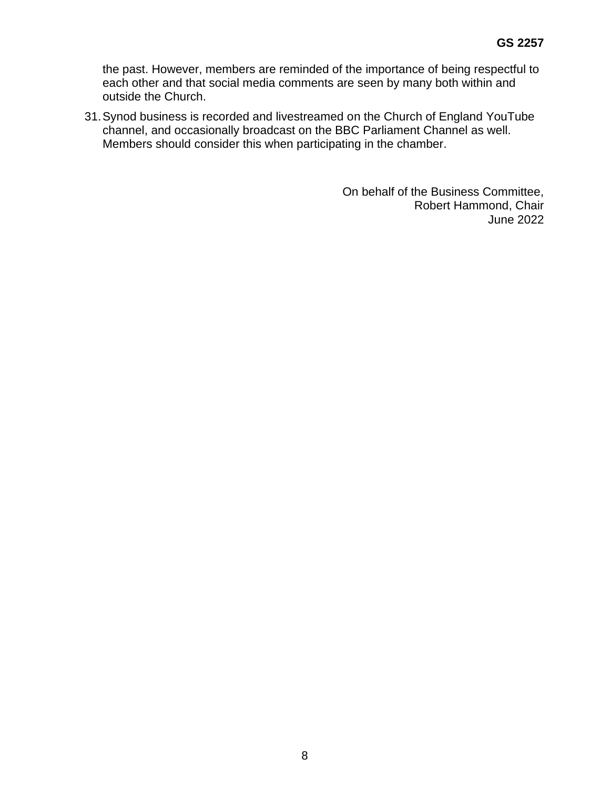the past. However, members are reminded of the importance of being respectful to each other and that social media comments are seen by many both within and outside the Church.

31.Synod business is recorded and livestreamed on the Church of England YouTube channel, and occasionally broadcast on the BBC Parliament Channel as well. Members should consider this when participating in the chamber.

> On behalf of the Business Committee, Robert Hammond, Chair June 2022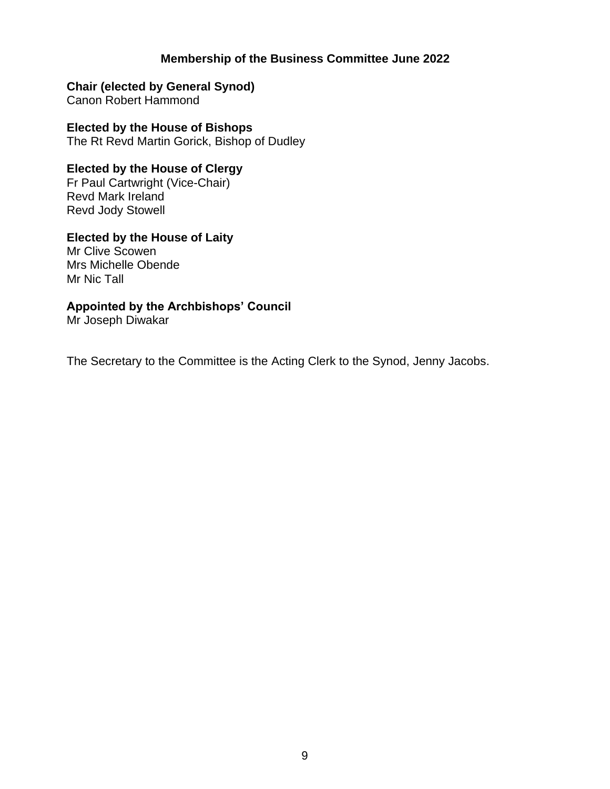## **Membership of the Business Committee June 2022**

## **Chair (elected by General Synod)**

Canon Robert Hammond

**Elected by the House of Bishops** The Rt Revd Martin Gorick, Bishop of Dudley

## **Elected by the House of Clergy**

Fr Paul Cartwright (Vice-Chair) Revd Mark Ireland Revd Jody Stowell

## **Elected by the House of Laity**

Mr Clive Scowen Mrs Michelle Obende Mr Nic Tall

### **Appointed by the Archbishops' Council**

Mr Joseph Diwakar

The Secretary to the Committee is the Acting Clerk to the Synod, Jenny Jacobs.